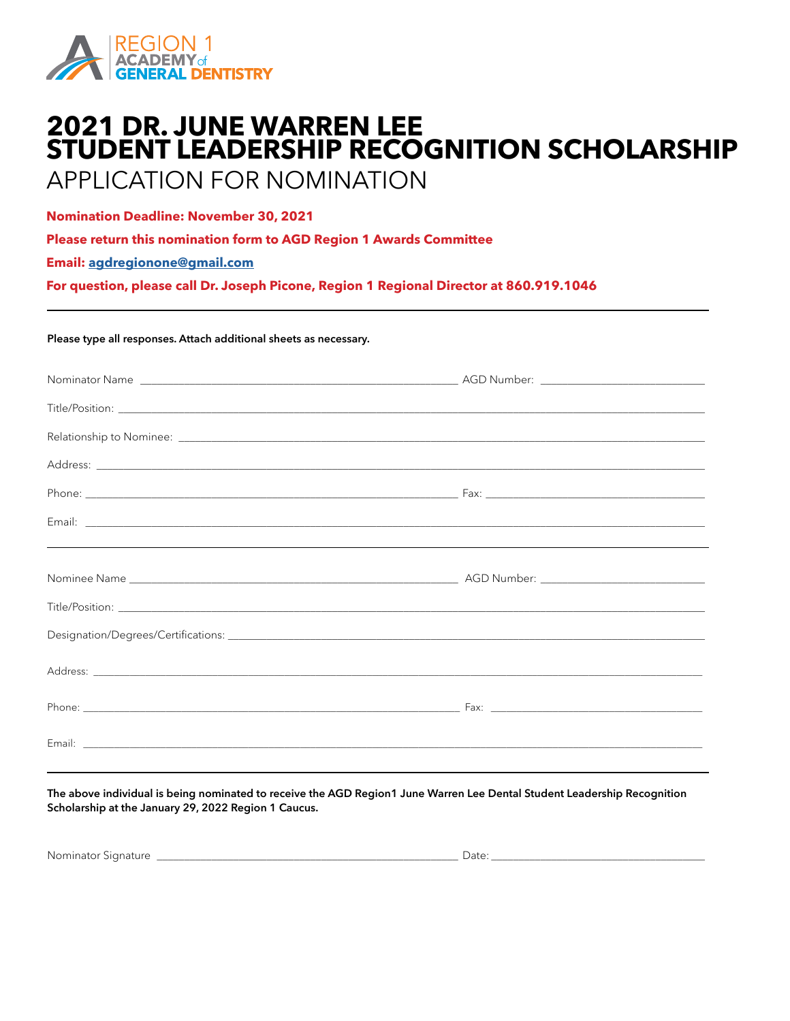

## **2021 DR. JUNE WARREN LEE STUDENT LEADERSHIP RECOGNITION SCHOLARSHIP**

## APPLICATION FOR NOMINATION

**Nomination Deadline: November 30, 2021**

**Please return this nomination form to AGD Region 1 Awards Committee**

**Email: [agdregionone@gmail.com](mailto:agdregionone%40gmail.com?subject=Dr%20June%20Warren%20Lee%20Leadership%20Recognition%20Award)**

**For question, please call Dr. Joseph Picone, Region 1 Regional Director at 860.919.1046**

## Please type all responses. Attach additional sheets as necessary.

The above individual is being nominated to receive the AGD Region1 June Warren Lee Dental Student Leadership Recognition Scholarship at the January 29, 2022 Region 1 Caucus.

| Nominator Signature | Date |
|---------------------|------|
|                     |      |